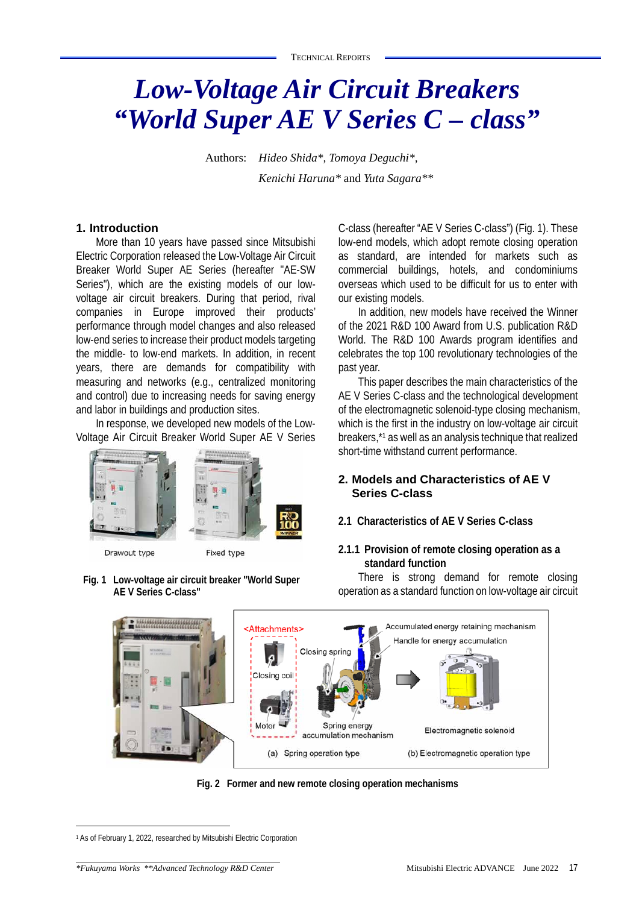# *Low-Voltage Air Circuit Breakers "World Super AE V Series C – class"*

Authors: *Hideo Shida\*, Tomoya Deguchi\*, Kenichi Haruna\** and *Yuta Sagara\*\**

#### **1. Introduction**

More than 10 years have passed since Mitsubishi Electric Corporation released the Low-Voltage Air Circuit Breaker World Super AE Series (hereafter "AE-SW Series"), which are the existing models of our lowvoltage air circuit breakers. During that period, rival companies in Europe improved their products' performance through model changes and also released low-end series to increase their product models targeting the middle- to low-end markets. In addition, in recent years, there are demands for compatibility with measuring and networks (e.g., centralized monitoring and control) due to increasing needs for saving energy and labor in buildings and production sites.

In response, we developed new models of the Low-Voltage Air Circuit Breaker World Super AE V Series



Drawout type

Fixed type

**Fig. 1 Low-voltage air circuit breaker "World Super AE V Series C-class"** 

C-class (hereafter "AE V Series C-class") (Fig. 1). These low-end models, which adopt remote closing operation as standard, are intended for markets such as commercial buildings, hotels, and condominiums overseas which used to be difficult for us to enter with our existing models.

In addition, new models have received the Winner of the 2021 R&D 100 Award from U.S. publication R&D World. The R&D 100 Awards program identifies and celebrates the top 100 revolutionary technologies of the past year.

This paper describes the main characteristics of the AE V Series C-class and the technological development of the electromagnetic solenoid-type closing mechanism, which is the first in the industry on low-voltage air circuit breakers,\*1 as well as an analysis technique that realized short-time withstand current performance.

# **2. Models and Characteristics of AE V Series C-class**

## **2.1 Characteristics of AE V Series C-class**

# **2.1.1 Provision of remote closing operation as a standard function**

There is strong demand for remote closing operation as a standard function on low-voltage air circuit



**Fig. 2 Former and new remote closing operation mechanisms** 

<sup>1</sup> As of February 1, 2022, researched by Mitsubishi Electric Corporation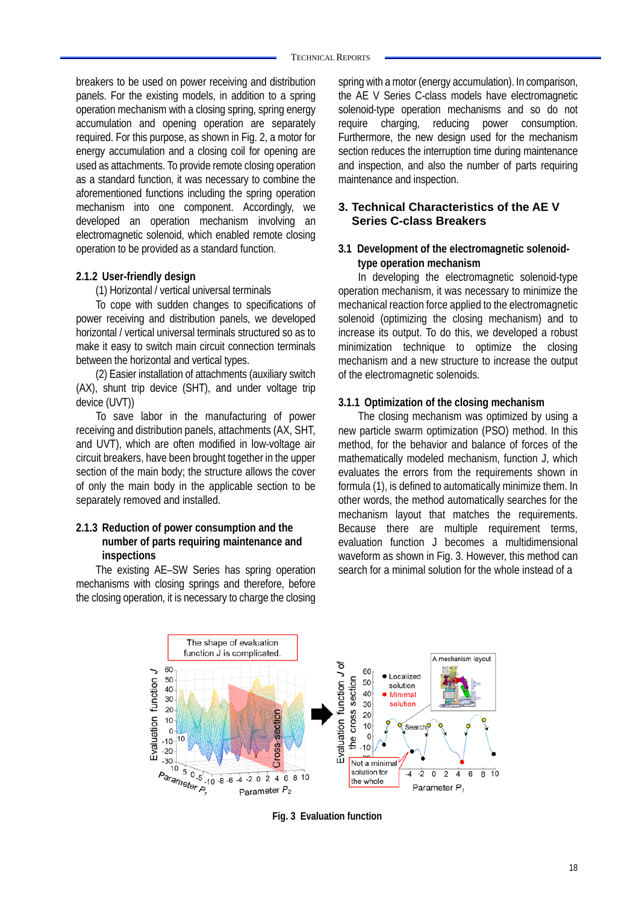breakers to be used on power receiving and distribution panels. For the existing models, in addition to a spring operation mechanism with a closing spring, spring energy accumulation and opening operation are separately required. For this purpose, as shown in Fig. 2, a motor for energy accumulation and a closing coil for opening are used as attachments. To provide remote closing operation as a standard function, it was necessary to combine the aforementioned functions including the spring operation mechanism into one component. Accordingly, we developed an operation mechanism involving an electromagnetic solenoid, which enabled remote closing operation to be provided as a standard function.

## **2.1.2 User-friendly design**

(1) Horizontal / vertical universal terminals

To cope with sudden changes to specifications of power receiving and distribution panels, we developed horizontal / vertical universal terminals structured so as to make it easy to switch main circuit connection terminals between the horizontal and vertical types.

(2) Easier installation of attachments (auxiliary switch (AX), shunt trip device (SHT), and under voltage trip device (UVT))

To save labor in the manufacturing of power receiving and distribution panels, attachments (AX, SHT, and UVT), which are often modified in low-voltage air circuit breakers, have been brought together in the upper section of the main body; the structure allows the cover of only the main body in the applicable section to be separately removed and installed.

# **2.1.3 Reduction of power consumption and the number of parts requiring maintenance and inspections**

The existing AE–SW Series has spring operation mechanisms with closing springs and therefore, before the closing operation, it is necessary to charge the closing spring with a motor (energy accumulation). In comparison, the AE V Series C-class models have electromagnetic solenoid-type operation mechanisms and so do not require charging, reducing power consumption. Furthermore, the new design used for the mechanism section reduces the interruption time during maintenance and inspection, and also the number of parts requiring maintenance and inspection.

# **3. Technical Characteristics of the AE V Series C-class Breakers**

# **3.1 Development of the electromagnetic solenoidtype operation mechanism**

In developing the electromagnetic solenoid-type operation mechanism, it was necessary to minimize the mechanical reaction force applied to the electromagnetic solenoid (optimizing the closing mechanism) and to increase its output. To do this, we developed a robust minimization technique to optimize the closing mechanism and a new structure to increase the output of the electromagnetic solenoids.

#### **3.1.1 Optimization of the closing mechanism**

The closing mechanism was optimized by using a new particle swarm optimization (PSO) method. In this method, for the behavior and balance of forces of the mathematically modeled mechanism, function J, which evaluates the errors from the requirements shown in formula (1), is defined to automatically minimize them. In other words, the method automatically searches for the mechanism layout that matches the requirements. Because there are multiple requirement terms, evaluation function J becomes a multidimensional waveform as shown in Fig. 3. However, this method can search for a minimal solution for the whole instead of a



**Fig. 3 Evaluation function**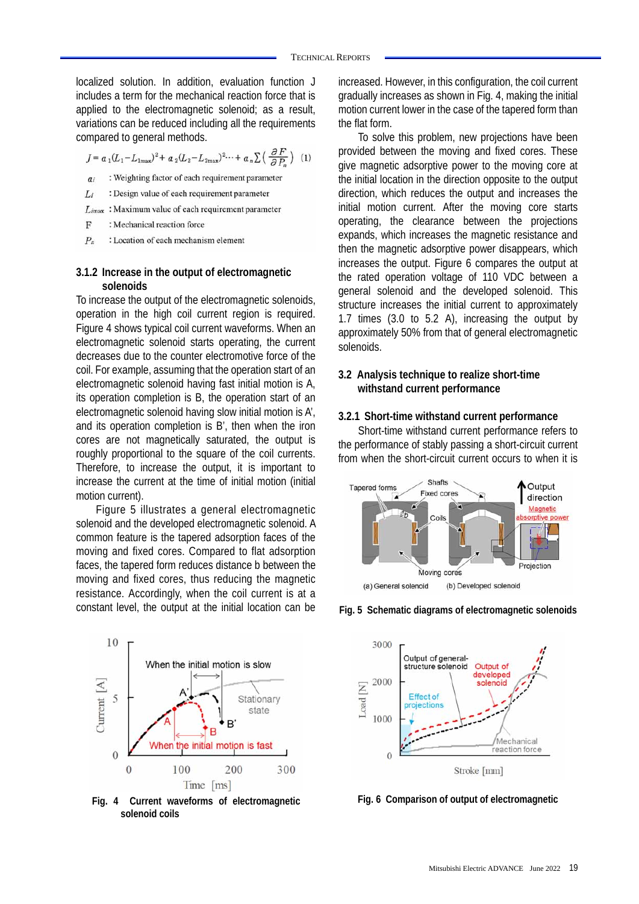localized solution. In addition, evaluation function J includes a term for the mechanical reaction force that is applied to the electromagnetic solenoid; as a result, variations can be reduced including all the requirements compared to general methods.

$$
J = a_1 (L_1 - L_{1\text{max}})^2 + a_2 (L_2 - L_{2\text{max}})^2 \dots + a_n \sum \left( \frac{\partial F}{\partial P_n} \right) \tag{1}
$$

- : Weighting factor of each requirement parameter  $\overline{a}$
- Li : Design value of each requirement parameter
- : Maximum value of each requirement parameter  $L$ imax
- $\overline{F}$ : Mechanical reaction force
- $P_n$ : Location of each mechanism element

#### **3.1.2 Increase in the output of electromagnetic solenoids**

To increase the output of the electromagnetic solenoids, operation in the high coil current region is required. Figure 4 shows typical coil current waveforms. When an electromagnetic solenoid starts operating, the current decreases due to the counter electromotive force of the coil. For example, assuming that the operation start of an electromagnetic solenoid having fast initial motion is A, its operation completion is B, the operation start of an electromagnetic solenoid having slow initial motion is A', and its operation completion is B', then when the iron cores are not magnetically saturated, the output is roughly proportional to the square of the coil currents. Therefore, to increase the output, it is important to increase the current at the time of initial motion (initial motion current).

Figure 5 illustrates a general electromagnetic solenoid and the developed electromagnetic solenoid. A common feature is the tapered adsorption faces of the moving and fixed cores. Compared to flat adsorption faces, the tapered form reduces distance b between the moving and fixed cores, thus reducing the magnetic resistance. Accordingly, when the coil current is at a constant level, the output at the initial location can be



**Fig. 4 Current waveforms of electromagnetic solenoid coils** 

increased. However, in this configuration, the coil current gradually increases as shown in Fig. 4, making the initial motion current lower in the case of the tapered form than the flat form.

To solve this problem, new projections have been provided between the moving and fixed cores. These give magnetic adsorptive power to the moving core at the initial location in the direction opposite to the output direction, which reduces the output and increases the initial motion current. After the moving core starts operating, the clearance between the projections expands, which increases the magnetic resistance and then the magnetic adsorptive power disappears, which increases the output. Figure 6 compares the output at the rated operation voltage of 110 VDC between a general solenoid and the developed solenoid. This structure increases the initial current to approximately 1.7 times (3.0 to 5.2 A), increasing the output by approximately 50% from that of general electromagnetic solenoids.

## **3.2 Analysis technique to realize short-time withstand current performance**

#### **3.2.1 Short-time withstand current performance**

Short-time withstand current performance refers to the performance of stably passing a short-circuit current from when the short-circuit current occurs to when it is





**Fig. 5 Schematic diagrams of electromagnetic solenoids**

**Fig. 6 Comparison of output of electromagnetic**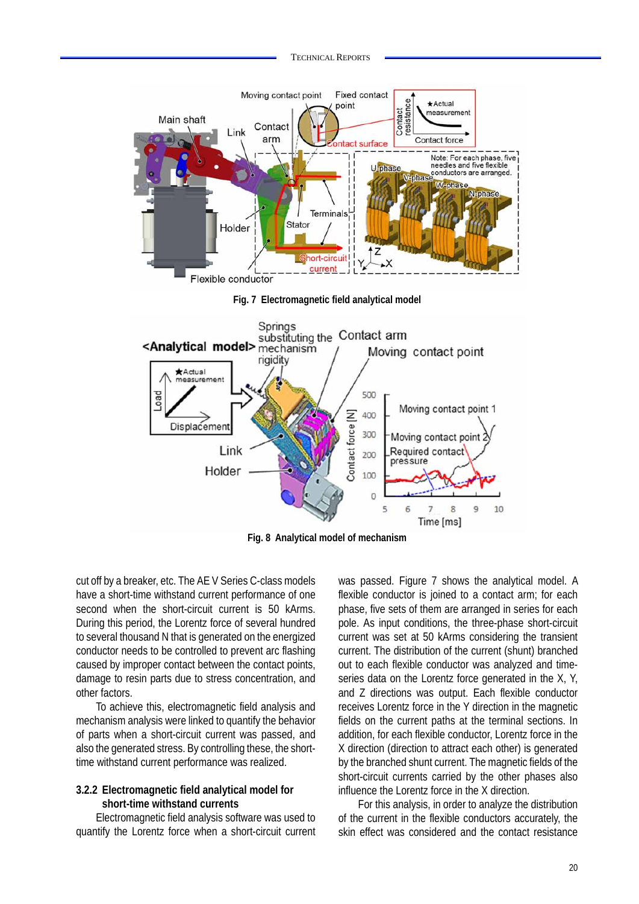

**Fig. 8 Analytical model of mechanism** 

cut off by a breaker, etc. The AE V Series C-class models have a short-time withstand current performance of one second when the short-circuit current is 50 kArms. During this period, the Lorentz force of several hundred to several thousand N that is generated on the energized conductor needs to be controlled to prevent arc flashing caused by improper contact between the contact points, damage to resin parts due to stress concentration, and other factors.

To achieve this, electromagnetic field analysis and mechanism analysis were linked to quantify the behavior of parts when a short-circuit current was passed, and also the generated stress. By controlling these, the shorttime withstand current performance was realized.

## **3.2.2 Electromagnetic field analytical model for short-time withstand currents**

Electromagnetic field analysis software was used to quantify the Lorentz force when a short-circuit current was passed. Figure 7 shows the analytical model. A flexible conductor is joined to a contact arm; for each phase, five sets of them are arranged in series for each pole. As input conditions, the three-phase short-circuit current was set at 50 kArms considering the transient current. The distribution of the current (shunt) branched out to each flexible conductor was analyzed and timeseries data on the Lorentz force generated in the X, Y, and Z directions was output. Each flexible conductor receives Lorentz force in the Y direction in the magnetic fields on the current paths at the terminal sections. In addition, for each flexible conductor, Lorentz force in the X direction (direction to attract each other) is generated by the branched shunt current. The magnetic fields of the short-circuit currents carried by the other phases also influence the Lorentz force in the X direction.

For this analysis, in order to analyze the distribution of the current in the flexible conductors accurately, the skin effect was considered and the contact resistance